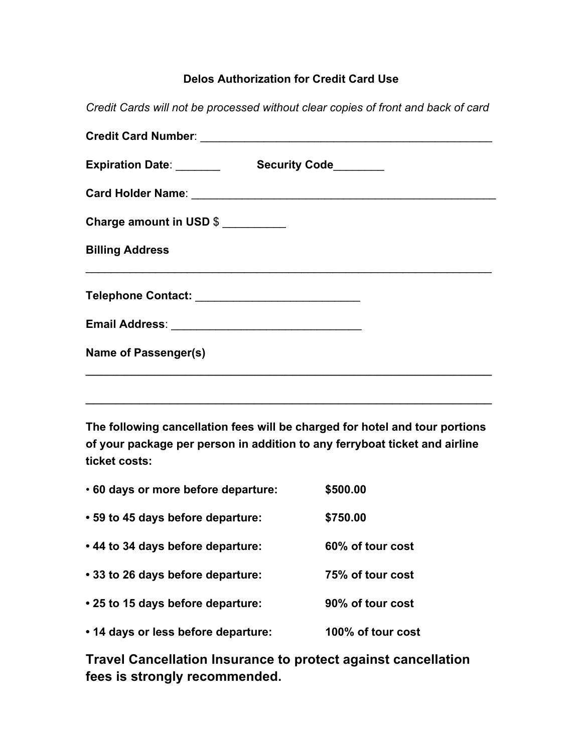### **Delos Authorization for Credit Card Use**

*Credit Cards will not be processed without clear copies of front and back of card* 

| Expiration Date: _______    | Security Code_______ |  |
|-----------------------------|----------------------|--|
|                             |                      |  |
| Charge amount in USD \$     |                      |  |
| <b>Billing Address</b>      |                      |  |
|                             |                      |  |
|                             |                      |  |
| <b>Name of Passenger(s)</b> |                      |  |
|                             |                      |  |

**The following cancellation fees will be charged for hotel and tour portions of your package per person in addition to any ferryboat ticket and airline ticket costs:** 

\_\_\_\_\_\_\_\_\_\_\_\_\_\_\_\_\_\_\_\_\_\_\_\_\_\_\_\_\_\_\_\_\_\_\_\_\_\_\_\_\_\_\_\_\_\_\_\_\_\_\_\_\_

| •60 days or more before departure:  | \$500.00          |
|-------------------------------------|-------------------|
| • 59 to 45 days before departure:   | \$750.00          |
| • 44 to 34 days before departure:   | 60% of tour cost  |
| • 33 to 26 days before departure:   | 75% of tour cost  |
| • 25 to 15 days before departure:   | 90% of tour cost  |
| • 14 days or less before departure: | 100% of tour cost |

**Travel Cancellation Insurance to protect against cancellation fees is strongly recommended.**